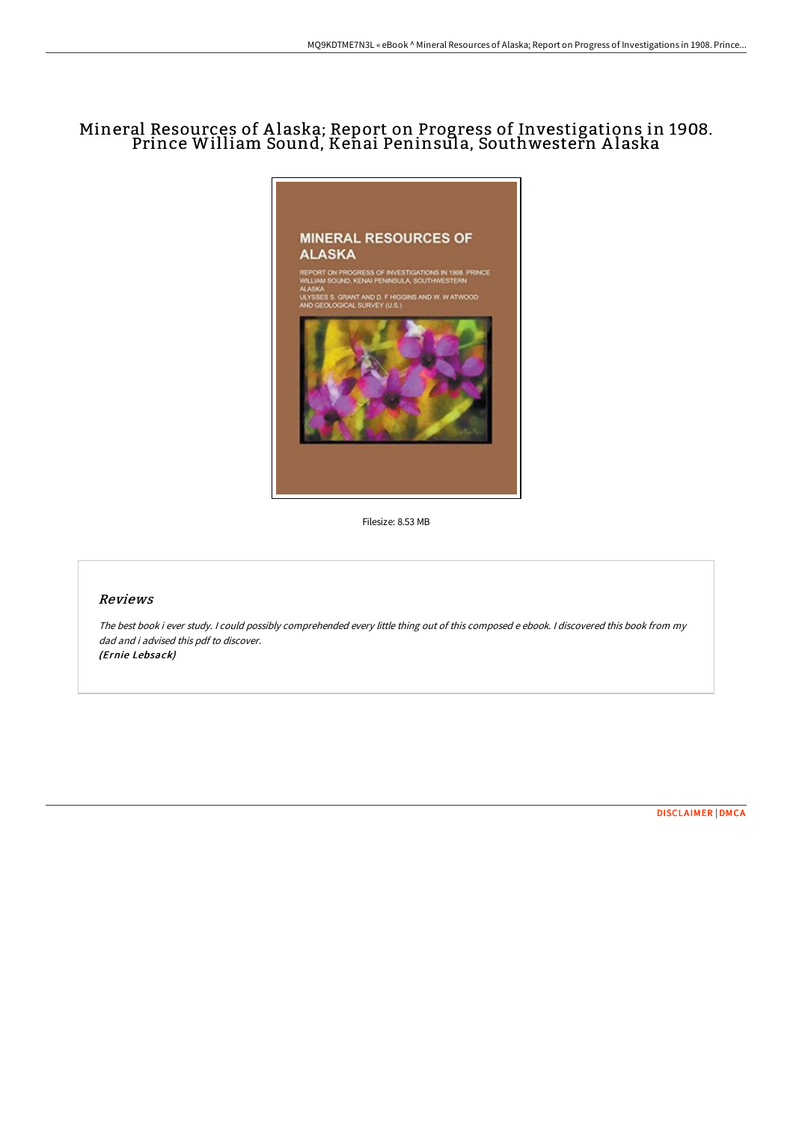# Mineral Resources of A laska; Report on Progress of Investigations in 1908. Prince William Sound, Kenai Peninsula, Southwestern A laska



Filesize: 8.53 MB

# Reviews

The best book i ever study. <sup>I</sup> could possibly comprehended every little thing out of this composed <sup>e</sup> ebook. <sup>I</sup> discovered this book from my dad and i advised this pdf to discover. (Ernie Lebsack)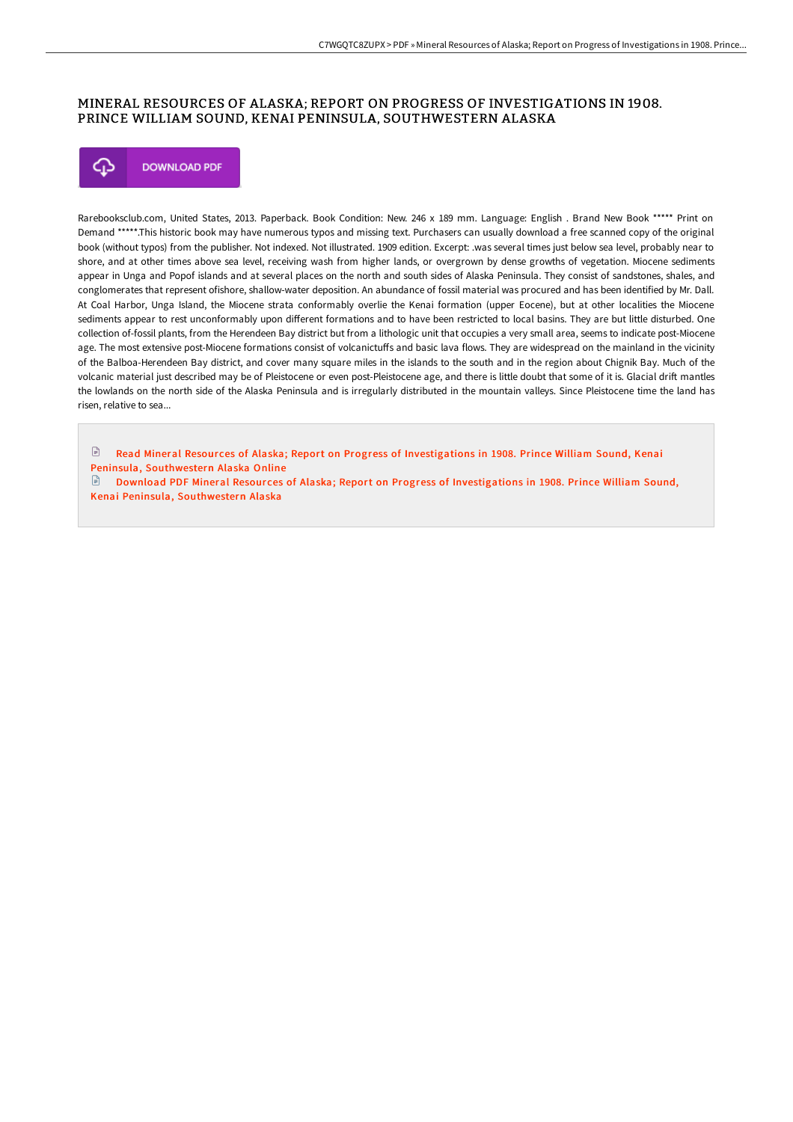# MINERAL RESOURCES OF ALASKA; REPORT ON PROGRESS OF INVESTIGATIONS IN 1908. PRINCE WILLIAM SOUND, KENAI PENINSULA, SOUTHWESTERN ALASKA



Rarebooksclub.com, United States, 2013. Paperback. Book Condition: New. 246 x 189 mm. Language: English . Brand New Book \*\*\*\*\* Print on Demand \*\*\*\*\*.This historic book may have numerous typos and missing text. Purchasers can usually download a free scanned copy of the original book (without typos) from the publisher. Not indexed. Not illustrated. 1909 edition. Excerpt: .was several times just below sea level, probably near to shore, and at other times above sea level, receiving wash from higher lands, or overgrown by dense growths of vegetation. Miocene sediments appear in Unga and Popof islands and at several places on the north and south sides of Alaska Peninsula. They consist of sandstones, shales, and conglomerates that represent ofishore, shallow-water deposition. An abundance of fossil material was procured and has been identified by Mr. Dall. At Coal Harbor, Unga Island, the Miocene strata conformably overlie the Kenai formation (upper Eocene), but at other localities the Miocene sediments appear to rest unconformably upon diHerent formations and to have been restricted to local basins. They are but little disturbed. One collection of-fossil plants, from the Herendeen Bay district but from a lithologic unit that occupies a very small area, seems to indicate post-Miocene age. The most extensive post-Miocene formations consist of volcanictuffs and basic lava flows. They are widespread on the mainland in the vicinity of the Balboa-Herendeen Bay district, and cover many square miles in the islands to the south and in the region about Chignik Bay. Much of the volcanic material just described may be of Pleistocene or even post-Pleistocene age, and there is little doubt that some of it is. Glacial drift mantles the lowlands on the north side of the Alaska Peninsula and is irregularly distributed in the mountain valleys. Since Pleistocene time the land has risen, relative to sea...

Read Mineral Resour ces of Alaska; Report on Progress of [Investigations](http://www.bookdirs.com/mineral-resources-of-alaska-report-on-progress-o.html) in 1908. Prince William Sound, Kenai Peninsula, Southwestern Alaska Online

Download PDF Mineral Resources of Alaska; Report on Progress of [Investigations](http://www.bookdirs.com/mineral-resources-of-alaska-report-on-progress-o.html) in 1908. Prince William Sound, Kenai Peninsula, Southwestern Alaska